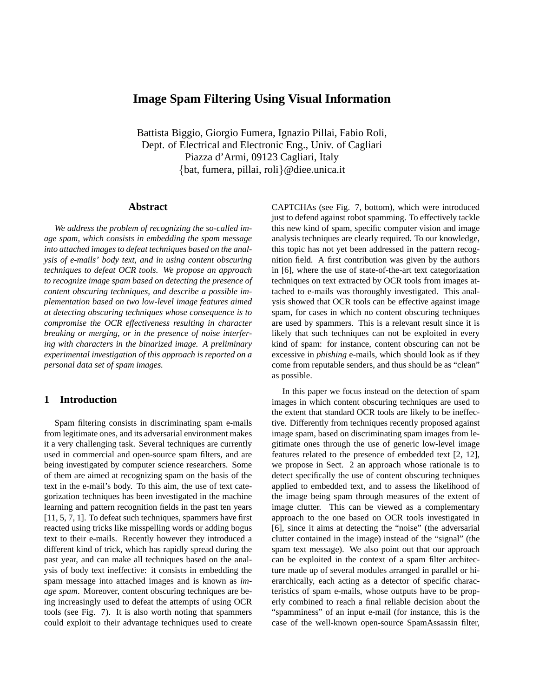# **Image Spam Filtering Using Visual Information**

Battista Biggio, Giorgio Fumera, Ignazio Pillai, Fabio Roli, Dept. of Electrical and Electronic Eng., Univ. of Cagliari Piazza d'Armi, 09123 Cagliari, Italy {bat, fumera, pillai, roli}@diee.unica.it

#### **Abstract**

*We address the problem of recognizing the so-called image spam, which consists in embedding the spam message into attached images to defeat techniques based on the analysis of e-mails' body text, and in using content obscuring techniques to defeat OCR tools. We propose an approach to recognize image spam based on detecting the presence of content obscuring techniques, and describe a possible implementation based on two low-level image features aimed at detecting obscuring techniques whose consequence is to compromise the OCR effectiveness resulting in character breaking or merging, or in the presence of noise interfering with characters in the binarized image. A preliminary experimental investigation of this approach is reported on a personal data set of spam images.*

### **1 Introduction**

Spam filtering consists in discriminating spam e-mails from legitimate ones, and its adversarial environment makes it a very challenging task. Several techniques are currently used in commercial and open-source spam filters, and are being investigated by computer science researchers. Some of them are aimed at recognizing spam on the basis of the text in the e-mail's body. To this aim, the use of text categorization techniques has been investigated in the machine learning and pattern recognition fields in the past ten years [11, 5, 7, 1]. To defeat such techniques, spammers have first reacted using tricks like misspelling words or adding bogus text to their e-mails. Recently however they introduced a different kind of trick, which has rapidly spread during the past year, and can make all techniques based on the analysis of body text ineffective: it consists in embedding the spam message into attached images and is known as *image spam*. Moreover, content obscuring techniques are being increasingly used to defeat the attempts of using OCR tools (see Fig. 7). It is also worth noting that spammers could exploit to their advantage techniques used to create CAPTCHAs (see Fig. 7, bottom), which were introduced just to defend against robot spamming. To effectively tackle this new kind of spam, specific computer vision and image analysis techniques are clearly required. To our knowledge, this topic has not yet been addressed in the pattern recognition field. A first contribution was given by the authors in [6], where the use of state-of-the-art text categorization techniques on text extracted by OCR tools from images attached to e-mails was thoroughly investigated. This analysis showed that OCR tools can be effective against image spam, for cases in which no content obscuring techniques are used by spammers. This is a relevant result since it is likely that such techniques can not be exploited in every kind of spam: for instance, content obscuring can not be excessive in *phishing* e-mails, which should look as if they come from reputable senders, and thus should be as "clean" as possible.

In this paper we focus instead on the detection of spam images in which content obscuring techniques are used to the extent that standard OCR tools are likely to be ineffective. Differently from techniques recently proposed against image spam, based on discriminating spam images from legitimate ones through the use of generic low-level image features related to the presence of embedded text [2, 12], we propose in Sect. 2 an approach whose rationale is to detect specifically the use of content obscuring techniques applied to embedded text, and to assess the likelihood of the image being spam through measures of the extent of image clutter. This can be viewed as a complementary approach to the one based on OCR tools investigated in [6], since it aims at detecting the "noise" (the adversarial clutter contained in the image) instead of the "signal" (the spam text message). We also point out that our approach can be exploited in the context of a spam filter architecture made up of several modules arranged in parallel or hierarchically, each acting as a detector of specific characteristics of spam e-mails, whose outputs have to be properly combined to reach a final reliable decision about the "spamminess" of an input e-mail (for instance, this is the case of the well-known open-source SpamAssassin filter,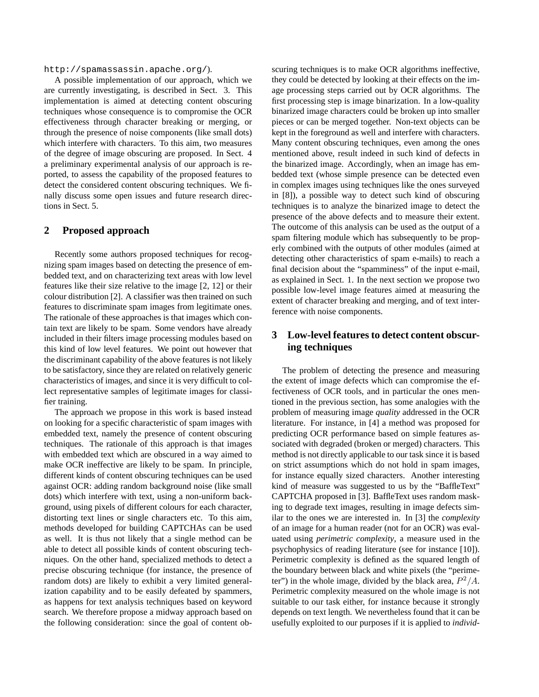http://spamassassin.apache.org/).

A possible implementation of our approach, which we are currently investigating, is described in Sect. 3. This implementation is aimed at detecting content obscuring techniques whose consequence is to compromise the OCR effectiveness through character breaking or merging, or through the presence of noise components (like small dots) which interfere with characters. To this aim, two measures of the degree of image obscuring are proposed. In Sect. 4 a preliminary experimental analysis of our approach is reported, to assess the capability of the proposed features to detect the considered content obscuring techniques. We finally discuss some open issues and future research directions in Sect. 5.

#### **2 Proposed approach**

Recently some authors proposed techniques for recognizing spam images based on detecting the presence of embedded text, and on characterizing text areas with low level features like their size relative to the image [2, 12] or their colour distribution [2]. A classifier was then trained on such features to discriminate spam images from legitimate ones. The rationale of these approaches is that images which contain text are likely to be spam. Some vendors have already included in their filters image processing modules based on this kind of low level features. We point out however that the discriminant capability of the above features is not likely to be satisfactory, since they are related on relatively generic characteristics of images, and since it is very difficult to collect representative samples of legitimate images for classifier training.

The approach we propose in this work is based instead on looking for a specific characteristic of spam images with embedded text, namely the presence of content obscuring techniques. The rationale of this approach is that images with embedded text which are obscured in a way aimed to make OCR ineffective are likely to be spam. In principle, different kinds of content obscuring techniques can be used against OCR: adding random background noise (like small dots) which interfere with text, using a non-uniform background, using pixels of different colours for each character, distorting text lines or single characters etc. To this aim, methods developed for building CAPTCHAs can be used as well. It is thus not likely that a single method can be able to detect all possible kinds of content obscuring techniques. On the other hand, specialized methods to detect a precise obscuring technique (for instance, the presence of random dots) are likely to exhibit a very limited generalization capability and to be easily defeated by spammers, as happens for text analysis techniques based on keyword search. We therefore propose a midway approach based on the following consideration: since the goal of content obscuring techniques is to make OCR algorithms ineffective, they could be detected by looking at their effects on the image processing steps carried out by OCR algorithms. The first processing step is image binarization. In a low-quality binarized image characters could be broken up into smaller pieces or can be merged together. Non-text objects can be kept in the foreground as well and interfere with characters. Many content obscuring techniques, even among the ones mentioned above, result indeed in such kind of defects in the binarized image. Accordingly, when an image has embedded text (whose simple presence can be detected even in complex images using techniques like the ones surveyed in [8]), a possible way to detect such kind of obscuring techniques is to analyze the binarized image to detect the presence of the above defects and to measure their extent. The outcome of this analysis can be used as the output of a spam filtering module which has subsequently to be properly combined with the outputs of other modules (aimed at detecting other characteristics of spam e-mails) to reach a final decision about the "spamminess" of the input e-mail, as explained in Sect. 1. In the next section we propose two possible low-level image features aimed at measuring the extent of character breaking and merging, and of text interference with noise components.

## **3 Low-level features to detect content obscuring techniques**

The problem of detecting the presence and measuring the extent of image defects which can compromise the effectiveness of OCR tools, and in particular the ones mentioned in the previous section, has some analogies with the problem of measuring image *quality* addressed in the OCR literature. For instance, in [4] a method was proposed for predicting OCR performance based on simple features associated with degraded (broken or merged) characters. This method is not directly applicable to our task since it is based on strict assumptions which do not hold in spam images, for instance equally sized characters. Another interesting kind of measure was suggested to us by the "BaffleText" CAPTCHA proposed in [3]. BaffleText uses random masking to degrade text images, resulting in image defects similar to the ones we are interested in. In [3] the *complexity* of an image for a human reader (not for an OCR) was evaluated using *perimetric complexity*, a measure used in the psychophysics of reading literature (see for instance [10]). Perimetric complexity is defined as the squared length of the boundary between black and white pixels (the "perimeter") in the whole image, divided by the black area,  $P^2/A$ . Perimetric complexity measured on the whole image is not suitable to our task either, for instance because it strongly depends on text length. We nevertheless found that it can be usefully exploited to our purposes if it is applied to *individ-*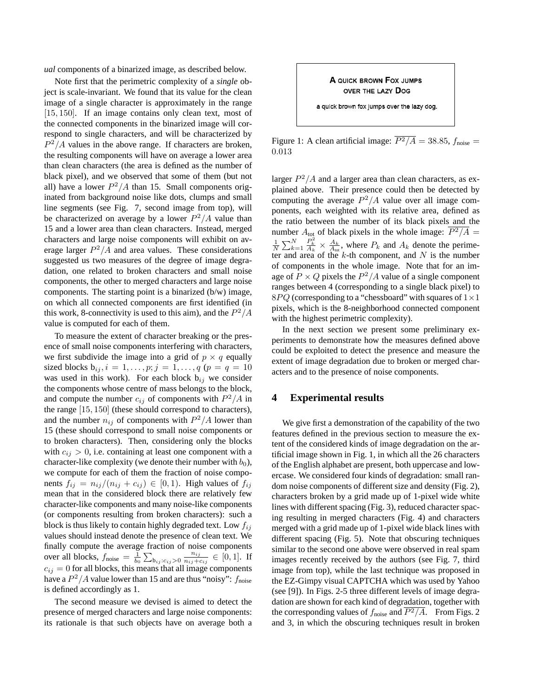*ual* components of a binarized image, as described below.

Note first that the perimetric complexity of a *single* object is scale-invariant. We found that its value for the clean image of a single character is approximately in the range [15, 150]. If an image contains only clean text, most of the connected components in the binarized image will correspond to single characters, and will be characterized by  $P^2/A$  values in the above range. If characters are broken, the resulting components will have on average a lower area than clean characters (the area is defined as the number of black pixel), and we observed that some of them (but not all) have a lower  $P^2/A$  than 15. Small components originated from background noise like dots, clumps and small line segments (see Fig. 7, second image from top), will be characterized on average by a lower  $P^2/A$  value than 15 and a lower area than clean characters. Instead, merged characters and large noise components will exhibit on average larger  $P^2/A$  and area values. These considerations suggested us two measures of the degree of image degradation, one related to broken characters and small noise components, the other to merged characters and large noise components. The starting point is a binarized (b/w) image, on which all connected components are first identified (in this work, 8-connectivity is used to this aim), and the  $P^2/A$ value is computed for each of them.

To measure the extent of character breaking or the presence of small noise components interfering with characters, we first subdivide the image into a grid of  $p \times q$  equally sized blocks  $b_{ij}$ ,  $i = 1, ..., p; j = 1, ..., q$  ( $p = q = 10$ was used in this work). For each block  $b_{ij}$  we consider the components whose centre of mass belongs to the block, and compute the number  $c_{ij}$  of components with  $P^2/A$  in the range [15, 150] (these should correspond to characters), and the number  $n_{ij}$  of components with  $P^2/A$  lower than 15 (these should correspond to small noise components or to broken characters). Then, considering only the blocks with  $c_{ij} > 0$ , i.e. containing at least one component with a character-like complexity (we denote their number with  $b_0$ ), we compute for each of them the fraction of noise components  $f_{ij} = n_{ij}/(n_{ij} + c_{ij}) \in [0,1)$ . High values of  $f_{ij}$ mean that in the considered block there are relatively few character-like components and many noise-like components (or components resulting from broken characters): such a block is thus likely to contain highly degraded text. Low  $f_{ij}$ values should instead denote the presence of clean text. We finally compute the average fraction of noise components over all blocks,  $f_{\text{noise}} = \frac{1}{b_0} \sum_{b_{ij}:c_{ij}>0}$  $n_{ij}$  $\frac{n_{ij}}{n_{ij}+c_{ij}} \in [0,1].$  If  $c_{ij} = 0$  for all blocks, this means that all image components have a  $P^2/A$  value lower than 15 and are thus "noisy":  $f_{\text{noise}}$ is defined accordingly as 1.

The second measure we devised is aimed to detect the presence of merged characters and large noise components: its rationale is that such objects have on average both a

A QUICK BROWN FOX JUMPS OVER THE LAZY DOG

a quick brown fox jumps over the lazy dog.

Figure 1: A clean artificial image:  $\overline{P^2/A} = 38.85$ ,  $f_{\text{noise}} =$ 0.013

larger  $P^2/A$  and a larger area than clean characters, as explained above. Their presence could then be detected by computing the average  $P^2/A$  value over all image components, each weighted with its relative area, defined as the ratio between the number of its black pixels and the number  $A_{\text{tot}}$  of black pixels in the whole image:  $P^2/A$  =  $\frac{1}{N} \sum_{k=1}^{N}$  $\frac{P_k^2}{A_k} \times \frac{A_k}{A_{\text{tot}}}$ , where  $P_k$  and  $A_k$  denote the perimeter and area of the  $k$ -th component, and N is the number of components in the whole image. Note that for an image of  $P \times Q$  pixels the  $P^2/A$  value of a single component ranges between 4 (corresponding to a single black pixel) to  $8PQ$  (corresponding to a "chessboard" with squares of  $1\times1$ pixels, which is the 8-neighborhood connected component with the highest perimetric complexity).

In the next section we present some preliminary experiments to demonstrate how the measures defined above could be exploited to detect the presence and measure the extent of image degradation due to broken or merged characters and to the presence of noise components.

### **4 Experimental results**

We give first a demonstration of the capability of the two features defined in the previous section to measure the extent of the considered kinds of image degradation on the artificial image shown in Fig. 1, in which all the 26 characters of the English alphabet are present, both uppercase and lowercase. We considered four kinds of degradation: small random noise components of different size and density (Fig. 2), characters broken by a grid made up of 1-pixel wide white lines with different spacing (Fig. 3), reduced character spacing resulting in merged characters (Fig. 4) and characters merged with a grid made up of 1-pixel wide black lines with different spacing (Fig. 5). Note that obscuring techniques similar to the second one above were observed in real spam images recently received by the authors (see Fig. 7, third image from top), while the last technique was proposed in the EZ-Gimpy visual CAPTCHA which was used by Yahoo (see [9]). In Figs. 2-5 three different levels of image degradation are shown for each kind of degradation, together with the corresponding values of  $f_{\text{noise}}$  and  $\overline{P^2/A}$ . From Figs. 2 and 3, in which the obscuring techniques result in broken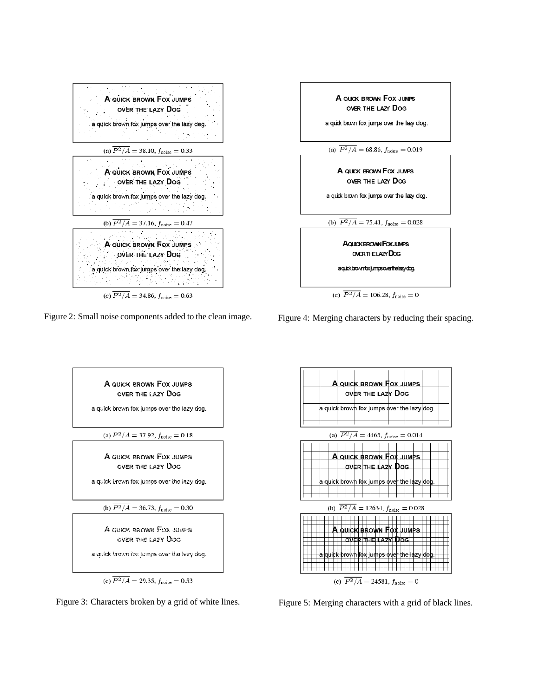

Figure 2: Small noise components added to the clean image.



Figure 4: Merging characters by reducing their spacing.



Figure 3: Characters broken by a grid of white lines.



Figure 5: Merging characters with a grid of black lines.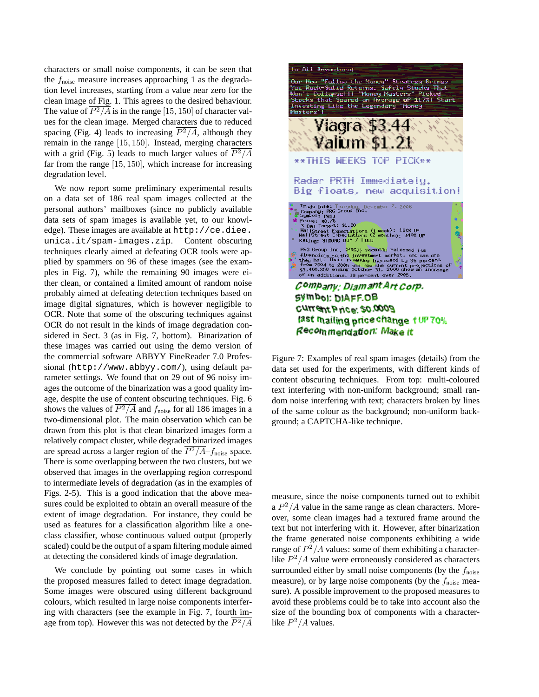characters or small noise components, it can be seen that the  $f_{\text{noise}}$  measure increases approaching 1 as the degradation level increases, starting from a value near zero for the clean image of Fig. 1. This agrees to the desired behaviour. The value of  $\overline{P^2/A}$  is in the range [15, 150] of character values for the clean image. Merged characters due to reduced spacing (Fig. 4) leads to increasing  $\overline{P^2/A}$ , although they remain in the range [15, 150]. Instead, merging characters with a grid (Fig. 5) leads to much larger values of  $P^2/A$ far from the range [15, 150], which increase for increasing degradation level.

We now report some preliminary experimental results on a data set of 186 real spam images collected at the personal authors' mailboxes (since no publicly available data sets of spam images is available yet, to our knowledge). These images are available at http://ce.diee. unica.it/spam-images.zip. Content obscuring techniques clearly aimed at defeating OCR tools were applied by spammers on 96 of these images (see the examples in Fig. 7), while the remaining 90 images were either clean, or contained a limited amount of random noise probably aimed at defeating detection techniques based on image digital signatures, which is however negligible to OCR. Note that some of the obscuring techniques against OCR do not result in the kinds of image degradation considered in Sect. 3 (as in Fig. 7, bottom). Binarization of these images was carried out using the demo version of the commercial software ABBYY FineReader 7.0 Professional (http://www.abbyy.com/), using default parameter settings. We found that on 29 out of 96 noisy images the outcome of the binarization was a good quality image, despite the use of content obscuring techniques. Fig. 6 shows the values of  $P^2/A$  and  $f_{\text{noise}}$  for all 186 images in a two-dimensional plot. The main observation which can be drawn from this plot is that clean binarized images form a relatively compact cluster, while degraded binarized images are spread across a larger region of the  $\overline{P^2/A}$ – $f_{\text{noise}}$  space. There is some overlapping between the two clusters, but we observed that images in the overlapping region correspond to intermediate levels of degradation (as in the examples of Figs. 2-5). This is a good indication that the above measures could be exploited to obtain an overall measure of the extent of image degradation. For instance, they could be used as features for a classification algorithm like a oneclass classifier, whose continuous valued output (properly scaled) could be the output of a spam filtering module aimed at detecting the considered kinds of image degradation.

We conclude by pointing out some cases in which the proposed measures failed to detect image degradation. Some images were obscured using different background colours, which resulted in large noise components interfering with characters (see the example in Fig. 7, fourth image from top). However this was not detected by the  $P^2/A$ 



Figure 7: Examples of real spam images (details) from the data set used for the experiments, with different kinds of content obscuring techniques. From top: multi-coloured text interfering with non-uniform background; small random noise interfering with text; characters broken by lines of the same colour as the background; non-uniform background; a CAPTCHA-like technique.

measure, since the noise components turned out to exhibit a  $P^2/A$  value in the same range as clean characters. Moreover, some clean images had a textured frame around the text but not interfering with it. However, after binarization the frame generated noise components exhibiting a wide range of  $P^2/A$  values: some of them exhibiting a characterlike  $P^2/A$  value were erroneously considered as characters surrounded either by small noise components (by the  $f_{\text{noise}}$ measure), or by large noise components (by the  $f_{\text{noise}}$  measure). A possible improvement to the proposed measures to avoid these problems could be to take into account also the size of the bounding box of components with a characterlike  $P^2/A$  values.